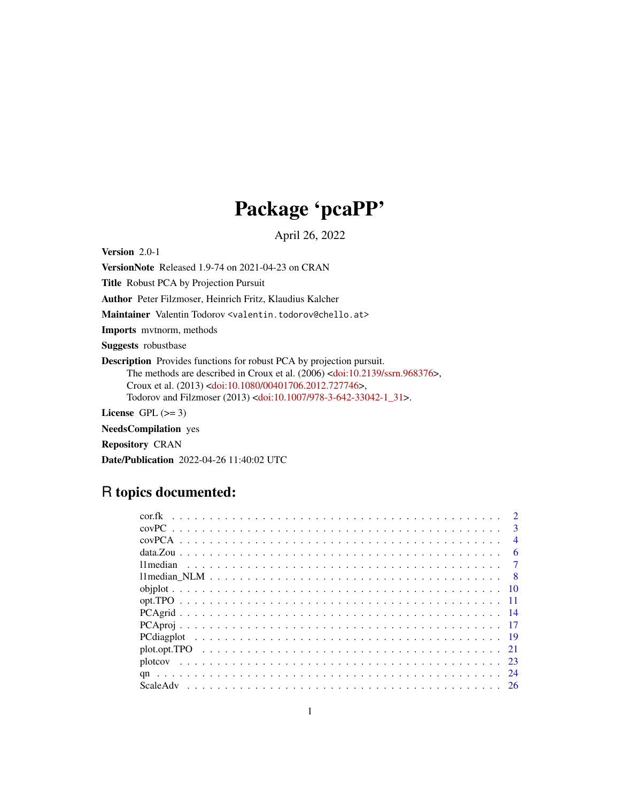## Package 'pcaPP'

April 26, 2022

<span id="page-0-0"></span>Version 2.0-1

VersionNote Released 1.9-74 on 2021-04-23 on CRAN

Title Robust PCA by Projection Pursuit

Author Peter Filzmoser, Heinrich Fritz, Klaudius Kalcher

Maintainer Valentin Todorov <valentin.todorov@chello.at>

Imports mvtnorm, methods

Suggests robustbase

Description Provides functions for robust PCA by projection pursuit. The methods are described in Croux et al. (2006) [<doi:10.2139/ssrn.968376>](https://doi.org/10.2139/ssrn.968376), Croux et al. (2013) [<doi:10.1080/00401706.2012.727746>](https://doi.org/10.1080/00401706.2012.727746), Todorov and Filzmoser (2013) [<doi:10.1007/978-3-642-33042-1\\_31>](https://doi.org/10.1007/978-3-642-33042-1_31).

License GPL  $(>= 3)$ 

NeedsCompilation yes Repository CRAN

Date/Publication 2022-04-26 11:40:02 UTC

## R topics documented:

|  |  |  |  |  |  |  |  |  |  |  |  |  |  |  |  |  |  |  | $\mathbf{R}$   |
|--|--|--|--|--|--|--|--|--|--|--|--|--|--|--|--|--|--|--|----------------|
|  |  |  |  |  |  |  |  |  |  |  |  |  |  |  |  |  |  |  | $\overline{4}$ |
|  |  |  |  |  |  |  |  |  |  |  |  |  |  |  |  |  |  |  | 6              |
|  |  |  |  |  |  |  |  |  |  |  |  |  |  |  |  |  |  |  |                |
|  |  |  |  |  |  |  |  |  |  |  |  |  |  |  |  |  |  |  |                |
|  |  |  |  |  |  |  |  |  |  |  |  |  |  |  |  |  |  |  |                |
|  |  |  |  |  |  |  |  |  |  |  |  |  |  |  |  |  |  |  |                |
|  |  |  |  |  |  |  |  |  |  |  |  |  |  |  |  |  |  |  |                |
|  |  |  |  |  |  |  |  |  |  |  |  |  |  |  |  |  |  |  |                |
|  |  |  |  |  |  |  |  |  |  |  |  |  |  |  |  |  |  |  |                |
|  |  |  |  |  |  |  |  |  |  |  |  |  |  |  |  |  |  |  |                |
|  |  |  |  |  |  |  |  |  |  |  |  |  |  |  |  |  |  |  |                |
|  |  |  |  |  |  |  |  |  |  |  |  |  |  |  |  |  |  |  |                |
|  |  |  |  |  |  |  |  |  |  |  |  |  |  |  |  |  |  |  |                |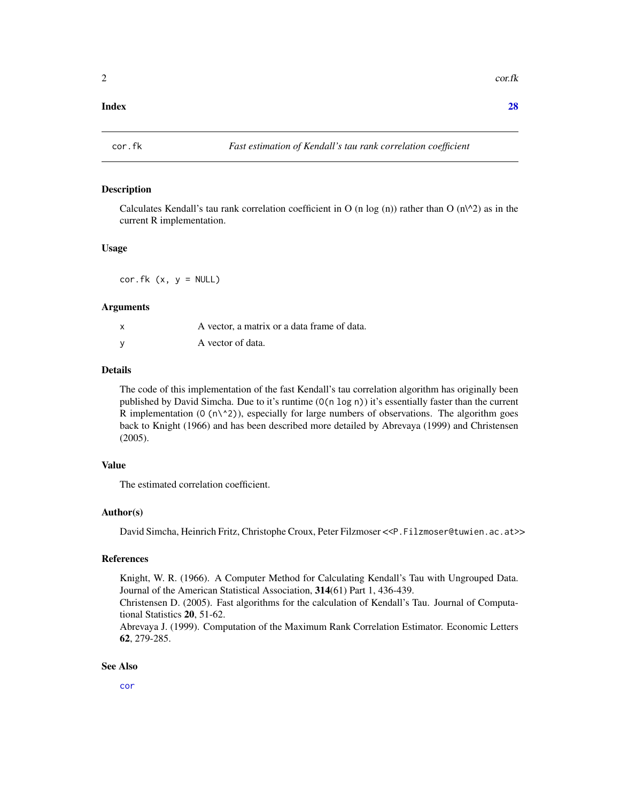#### <span id="page-1-0"></span>**Index** [28](#page-27-0) and 2012, the contract of the contract of the contract of the contract of the contract of the contract of the contract of the contract of the contract of the contract of the contract of the contract of the contr

## Description

Calculates Kendall's tau rank correlation coefficient in O (n log (n)) rather than O ( $n\$ <sup>2</sup>) as in the current R implementation.

#### Usage

 $cor.fk$  (x,  $y = NULL$ )

#### Arguments

| x | A vector, a matrix or a data frame of data. |
|---|---------------------------------------------|
|   | A vector of data.                           |

## Details

The code of this implementation of the fast Kendall's tau correlation algorithm has originally been published by David Simcha. Due to it's runtime (O(n log n)) it's essentially faster than the current R implementation ( $0 \, (\text{n} \wedge 2)$ ), especially for large numbers of observations. The algorithm goes back to Knight (1966) and has been described more detailed by Abrevaya (1999) and Christensen (2005).

#### Value

The estimated correlation coefficient.

#### Author(s)

David Simcha, Heinrich Fritz, Christophe Croux, Peter Filzmoser <<P.Filzmoser@tuwien.ac.at>>

## References

Knight, W. R. (1966). A Computer Method for Calculating Kendall's Tau with Ungrouped Data. Journal of the American Statistical Association, 314(61) Part 1, 436-439.

Christensen D. (2005). Fast algorithms for the calculation of Kendall's Tau. Journal of Computational Statistics 20, 51-62.

Abrevaya J. (1999). Computation of the Maximum Rank Correlation Estimator. Economic Letters 62, 279-285.

#### See Also

[cor](#page-0-0)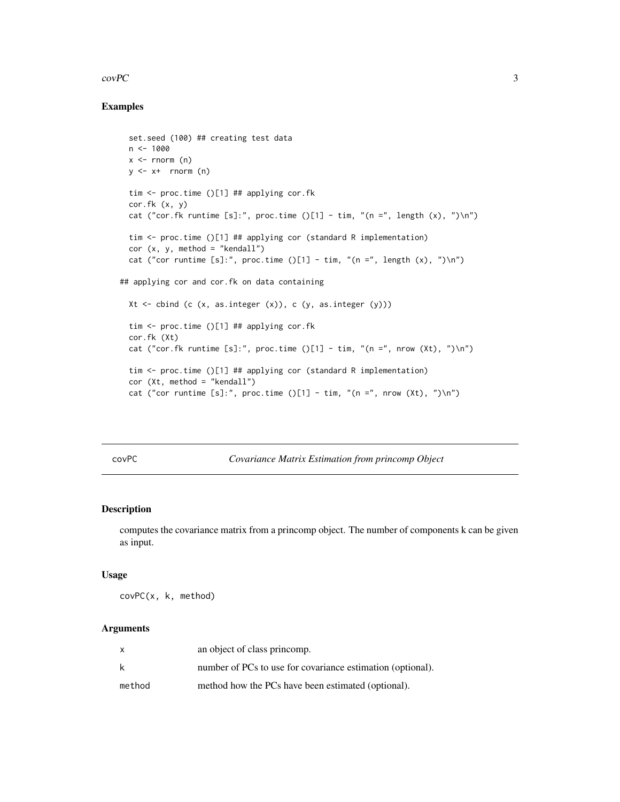#### <span id="page-2-0"></span> $\text{covPC}$  3

## Examples

```
set.seed (100) ## creating test data
 n < -1000x \leq -rnorm (n)
 y \leq -x+ rnorm (n)
 tim <- proc.time ()[1] ## applying cor.fk
 cor.fk (x, y)
 cat ("cor.fk runtime [s]:", proc.time ()[1] - tim, "(n =", length (x), ")\n")
 tim <- proc.time ()[1] ## applying cor (standard R implementation)
 cor (x, y, \text{ method} = "kendall")cat ("cor runtime [s]:", proc.time ()[1] - tim, "(n =", length (x), ")\n")
## applying cor and cor.fk on data containing
 Xt \le cbind (c (x, as.integer (x)), c (y, as.integer (y)))tim <- proc.time ()[1] ## applying cor.fk
 cor.fk (Xt)
 cat ("cor.fk runtime [s]:", proc.time ()[1] - tim, "(n =", nrow (Xt), ")\n")
 tim <- proc.time ()[1] ## applying cor (standard R implementation)
 cor (Xt, method = "kendall")
 cat ("cor runtime [s]:", proc.time ()[1] - tim, "(n =", nrow (Xt), ")\n")
```
<span id="page-2-1"></span>covPC *Covariance Matrix Estimation from princomp Object*

## Description

computes the covariance matrix from a princomp object. The number of components k can be given as input.

#### Usage

covPC(x, k, method)

## Arguments

| x      | an object of class princomp.                               |
|--------|------------------------------------------------------------|
| k      | number of PCs to use for covariance estimation (optional). |
| method | method how the PCs have been estimated (optional).         |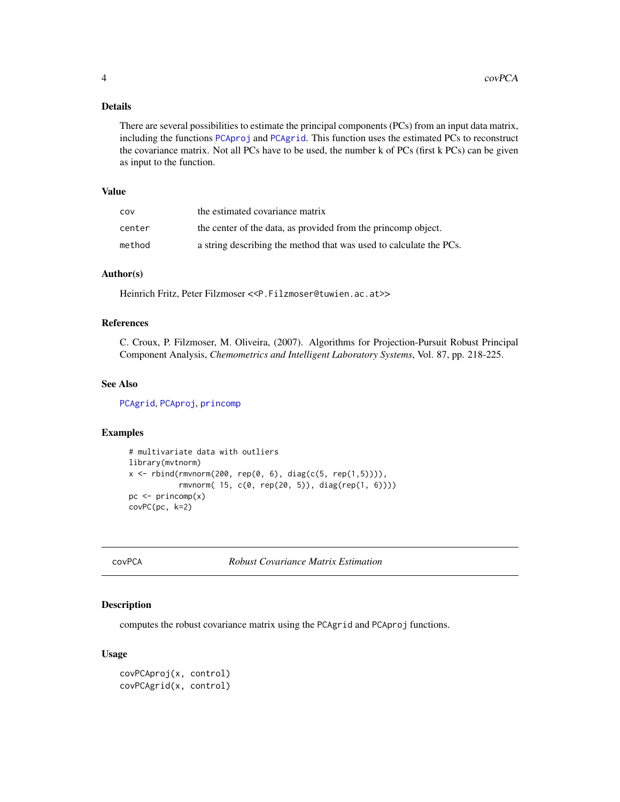## <span id="page-3-0"></span>Details

There are several possibilities to estimate the principal components (PCs) from an input data matrix, including the functions [PCAproj](#page-16-1) and [PCAgrid](#page-13-1). This function uses the estimated PCs to reconstruct the covariance matrix. Not all PCs have to be used, the number k of PCs (first k PCs) can be given as input to the function.

#### Value

| COV    | the estimated covariance matrix                                    |
|--------|--------------------------------------------------------------------|
| center | the center of the data, as provided from the princomp object.      |
| method | a string describing the method that was used to calculate the PCs. |

## Author(s)

Heinrich Fritz, Peter Filzmoser <<P.Filzmoser@tuwien.ac.at>>

#### References

C. Croux, P. Filzmoser, M. Oliveira, (2007). Algorithms for Projection-Pursuit Robust Principal Component Analysis, *Chemometrics and Intelligent Laboratory Systems*, Vol. 87, pp. 218-225.

#### See Also

[PCAgrid](#page-13-1), [PCAproj](#page-16-1), [princomp](#page-0-0)

#### Examples

```
# multivariate data with outliers
library(mvtnorm)
x \le rbind(rmvnorm(200, rep(0, 6), diag(c(5, rep(1,5)))),
           rmvnorm( 15, c(0, rep(20, 5)), diag(rep(1, 6))))
pc <- princomp(x)
covPC(pc, k=2)
```
covPCA *Robust Covariance Matrix Estimation*

#### <span id="page-3-1"></span>Description

computes the robust covariance matrix using the PCAgrid and PCAproj functions.

#### Usage

```
covPCAproj(x, control)
covPCAgrid(x, control)
```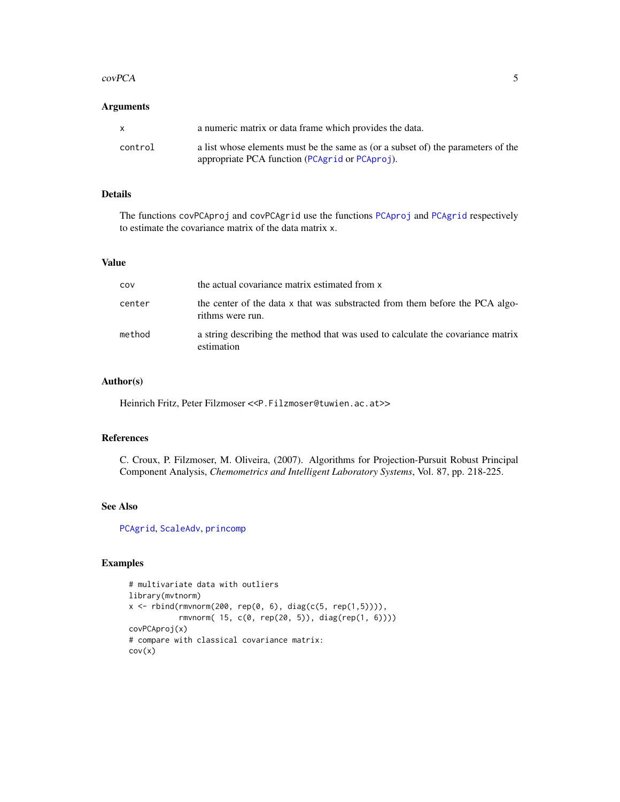#### <span id="page-4-0"></span> $\mathcal{L}$  covPCA 5

## Arguments

|         | a numeric matrix or data frame which provides the data.                                                                            |
|---------|------------------------------------------------------------------------------------------------------------------------------------|
| control | a list whose elements must be the same as (or a subset of) the parameters of the<br>appropriate PCA function (PCAgrid or PCAproj). |

## Details

The functions covPCAproj and covPCAgrid use the functions [PCAproj](#page-16-1) and [PCAgrid](#page-13-1) respectively to estimate the covariance matrix of the data matrix x.

## Value

| COV    | the actual covariance matrix estimated from x                                                    |
|--------|--------------------------------------------------------------------------------------------------|
| center | the center of the data x that was substracted from them before the PCA algo-<br>rithms were run. |
| method | a string describing the method that was used to calculate the covariance matrix<br>estimation    |

### Author(s)

Heinrich Fritz, Peter Filzmoser <<P.Filzmoser@tuwien.ac.at>>

#### References

C. Croux, P. Filzmoser, M. Oliveira, (2007). Algorithms for Projection-Pursuit Robust Principal Component Analysis, *Chemometrics and Intelligent Laboratory Systems*, Vol. 87, pp. 218-225.

## See Also

[PCAgrid](#page-13-1), [ScaleAdv](#page-25-1), [princomp](#page-0-0)

## Examples

```
# multivariate data with outliers
library(mvtnorm)
x \le rbind(rmvnorm(200, rep(0, 6), diag(c(5, rep(1,5)))),
           rmvnorm( 15, c(0, rep(20, 5)), diag(rep(1, 6))))
covPCAproj(x)
# compare with classical covariance matrix:
cov(x)
```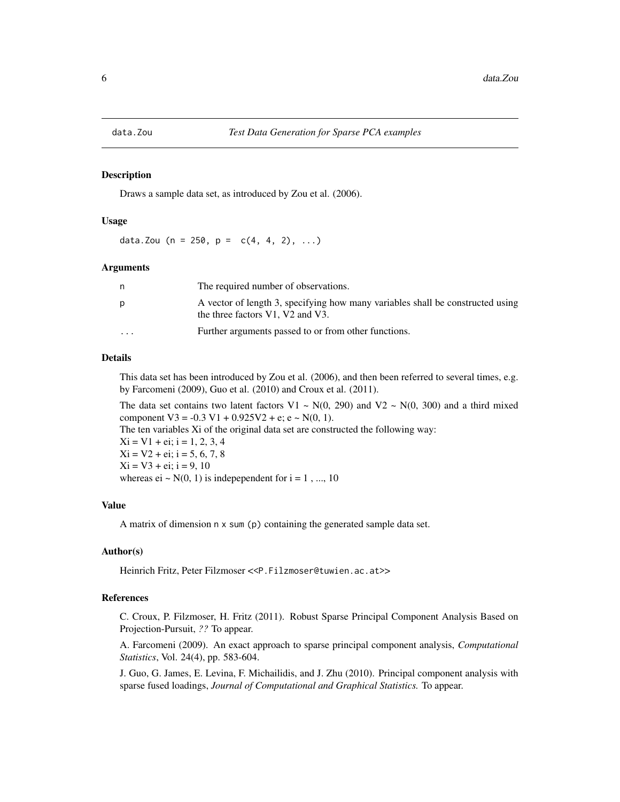<span id="page-5-0"></span>

#### Description

Draws a sample data set, as introduced by Zou et al. (2006).

#### Usage

data.Zou (n = 250, p =  $c(4, 4, 2), ...$ )

#### Arguments

| n        | The required number of observations.                                                                               |
|----------|--------------------------------------------------------------------------------------------------------------------|
| p        | A vector of length 3, specifying how many variables shall be constructed using<br>the three factors V1, V2 and V3. |
| $\cdots$ | Further arguments passed to or from other functions.                                                               |

#### Details

This data set has been introduced by Zou et al. (2006), and then been referred to several times, e.g. by Farcomeni (2009), Guo et al. (2010) and Croux et al. (2011).

The data set contains two latent factors V1 ~ N(0, 290) and V2 ~ N(0, 300) and a third mixed component  $V3 = -0.3 V1 + 0.925 V2 + e$ ;  $e \sim N(0, 1)$ . The ten variables Xi of the original data set are constructed the following way:  $Xi = VI + ei$ ; i = 1, 2, 3, 4  $Xi = V2 + ei$ ; i = 5, 6, 7, 8  $Xi = V3 + ei$ ; i = 9, 10 whereas ei  $\sim N(0, 1)$  is indepependent for i = 1, ..., 10

#### Value

A matrix of dimension n x sum (p) containing the generated sample data set.

#### Author(s)

Heinrich Fritz, Peter Filzmoser <<P.Filzmoser@tuwien.ac.at>>

## References

C. Croux, P. Filzmoser, H. Fritz (2011). Robust Sparse Principal Component Analysis Based on Projection-Pursuit, *??* To appear.

A. Farcomeni (2009). An exact approach to sparse principal component analysis, *Computational Statistics*, Vol. 24(4), pp. 583-604.

J. Guo, G. James, E. Levina, F. Michailidis, and J. Zhu (2010). Principal component analysis with sparse fused loadings, *Journal of Computational and Graphical Statistics.* To appear.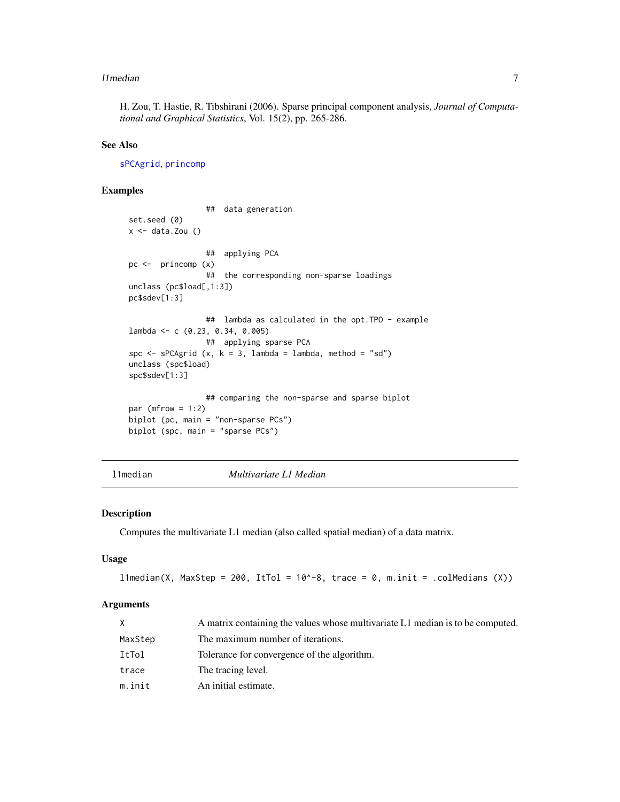#### <span id="page-6-0"></span>l 1 median **7**

H. Zou, T. Hastie, R. Tibshirani (2006). Sparse principal component analysis, *Journal of Computational and Graphical Statistics*, Vol. 15(2), pp. 265-286.

## See Also

[sPCAgrid](#page-13-2), [princomp](#page-0-0)

## Examples

```
## data generation
set.seed (0)
x \leftarrow data.Zou()## applying PCA
pc <- princomp (x)
                 ## the corresponding non-sparse loadings
unclass (pc$load[,1:3])
pc$sdev[1:3]
                 ## lambda as calculated in the opt.TPO - example
lambda <- c (0.23, 0.34, 0.005)
                 ## applying sparse PCA
spc \leq sPCAgrid (x, k = 3, lambda = lambda, method = "sd")
unclass (spc$load)
spc$sdev[1:3]
                 ## comparing the non-sparse and sparse biplot
par (mfrow = 1:2)
biplot (pc, main = "non-sparse PCs")
biplot (spc, main = "sparse PCs")
```
l1median *Multivariate L1 Median*

#### Description

Computes the multivariate L1 median (also called spatial median) of a data matrix.

#### Usage

```
l1median(X, MaxStep = 200, ItTol = 10^{\circ}-8, trace = 0, m.init = .colMedians (X))
```
#### Arguments

|         | A matrix containing the values whose multivariate L1 median is to be computed. |
|---------|--------------------------------------------------------------------------------|
| MaxStep | The maximum number of iterations.                                              |
| ItTol   | Tolerance for convergence of the algorithm.                                    |
| trace   | The tracing level.                                                             |
| m.init  | An initial estimate.                                                           |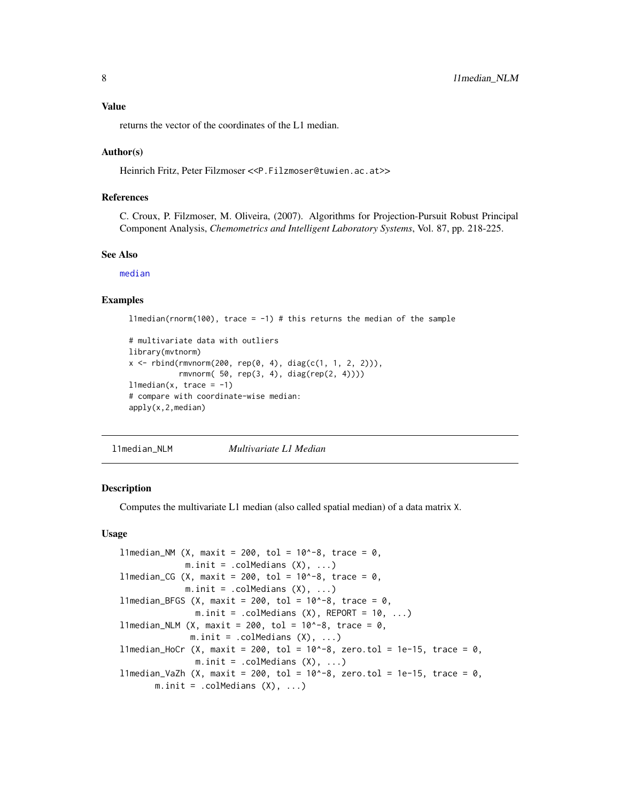#### <span id="page-7-0"></span>Value

returns the vector of the coordinates of the L1 median.

#### Author(s)

Heinrich Fritz, Peter Filzmoser <<P.Filzmoser@tuwien.ac.at>>

#### References

C. Croux, P. Filzmoser, M. Oliveira, (2007). Algorithms for Projection-Pursuit Robust Principal Component Analysis, *Chemometrics and Intelligent Laboratory Systems*, Vol. 87, pp. 218-225.

#### See Also

[median](#page-0-0)

#### Examples

```
l1median(rnorm(100), trace = -1) # this returns the median of the sample
```

```
# multivariate data with outliers
library(mvtnorm)
x \le rbind(rmvnorm(200, rep(0, 4), diag(c(1, 1, 2, 2))),
           rmvnorm( 50, rep(3, 4), diag(rep(2, 4))))
l1median(x, trace = -1)
# compare with coordinate-wise median:
apply(x,2,median)
```
l1median\_NLM *Multivariate L1 Median*

### Description

Computes the multivariate L1 median (also called spatial median) of a data matrix X.

#### Usage

```
11 median_NM (X, maxit = 200, tol = 10^-8, trace = 0,
             m.init = .collMedians (X), ...l1median_CG (X, maxit = 200, tol = 10^-8, trace = 0,
             m.init = .collMedians (X), ...l1median_BFGS (X, maxit = 200, tol = 10^-8, trace = 0,
               m.init = .collMedians (X), REPORT = 10, ...l1median_NLM (X, maxit = 200, tol = 10^{\circ}-8, trace = 0,
              m.init = .collMedians (X), ...l1median_HoCr (X, maxit = 200, tol = 10^-8, zero.tol = 1e-15, trace = 0,
              m.init = .collMedians (X), ...l1median_VaZh (X, maxit = 200, tol = 10^-8, zero.tol = 1e-15, trace = 0,
      m.init = .collMedians (X), ...
```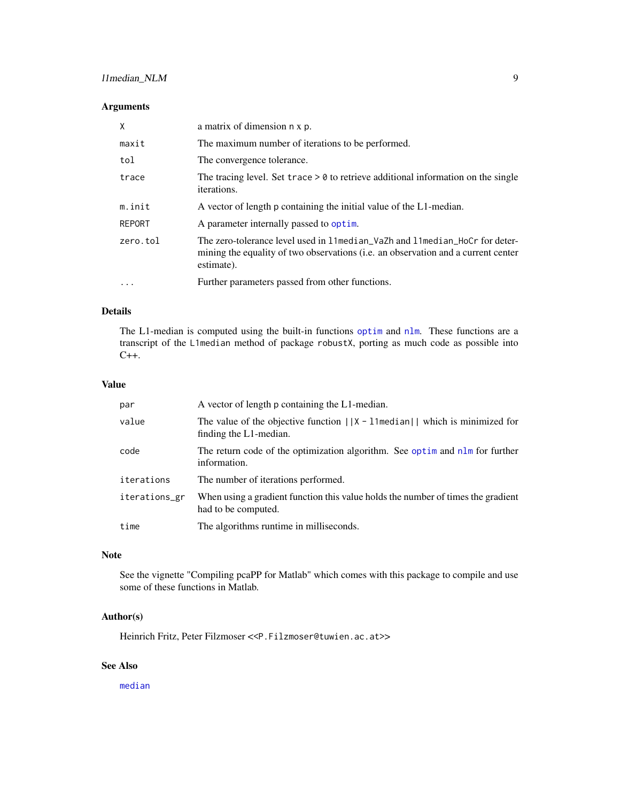## <span id="page-8-0"></span>l1median\_NLM 9

## Arguments

| X             | a matrix of dimension n x p.                                                                                                                                                     |
|---------------|----------------------------------------------------------------------------------------------------------------------------------------------------------------------------------|
| maxit         | The maximum number of iterations to be performed.                                                                                                                                |
| tol           | The convergence tolerance.                                                                                                                                                       |
| trace         | The tracing level. Set trace $> 0$ to retrieve additional information on the single<br>iterations.                                                                               |
| m.init        | A vector of length p containing the initial value of the L1-median.                                                                                                              |
| <b>REPORT</b> | A parameter internally passed to optim.                                                                                                                                          |
| zero.tol      | The zero-tolerance level used in 11 median_VaZh and 11 median_HoCr for deter-<br>mining the equality of two observations (i.e. an observation and a current center<br>estimate). |
| $\cdot$       | Further parameters passed from other functions.                                                                                                                                  |

## Details

The L1-median is computed using the built-in functions [optim](#page-0-0) and [nlm](#page-0-0). These functions are a transcript of the L1median method of package robustX, porting as much code as possible into C++.

#### Value

| par           | A vector of length p containing the L1-median.                                                              |
|---------------|-------------------------------------------------------------------------------------------------------------|
| value         | The value of the objective function $  X - 1 $ median $  $ which is minimized for<br>finding the L1-median. |
| code          | The return code of the optimization algorithm. See optime and nlm for further<br>information.               |
| iterations    | The number of iterations performed.                                                                         |
| iterations_gr | When using a gradient function this value holds the number of times the gradient<br>had to be computed.     |
| time          | The algorithms runtime in milliseconds.                                                                     |

#### Note

See the vignette "Compiling pcaPP for Matlab" which comes with this package to compile and use some of these functions in Matlab.

## Author(s)

Heinrich Fritz, Peter Filzmoser <<P.Filzmoser@tuwien.ac.at>>

## See Also

[median](#page-0-0)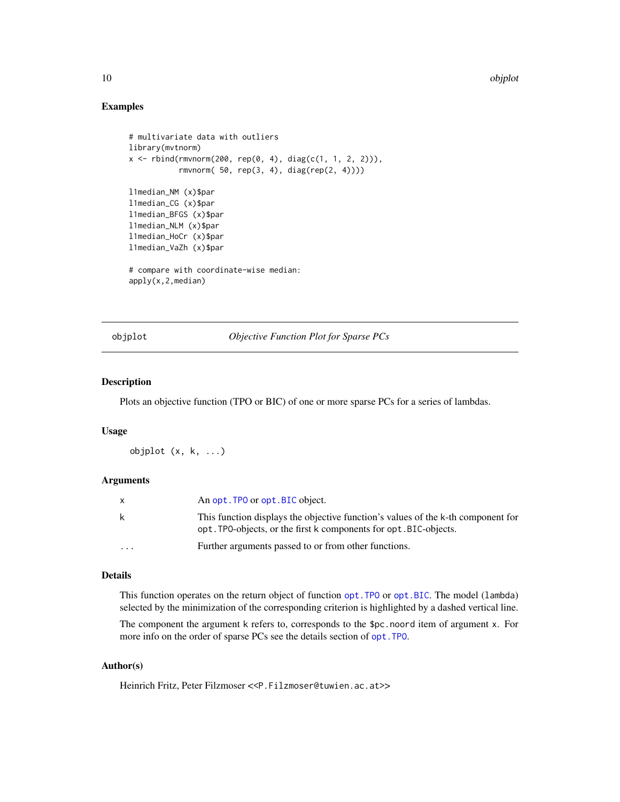#### 10 objplot that the contract of the contract of the contract of the contract of the contract of the contract of the contract of the contract of the contract of the contract of the contract of the contract of the contract o

## Examples

```
# multivariate data with outliers
library(mvtnorm)
x <- rbind(rmvnorm(200, rep(0, 4), diag(c(1, 1, 2, 2))),
           rmvnorm( 50, rep(3, 4), diag(rep(2, 4))))
l1median_NM (x)$par
l1median_CG (x)$par
l1median_BFGS (x)$par
l1median_NLM (x)$par
l1median_HoCr (x)$par
l1median_VaZh (x)$par
# compare with coordinate-wise median:
apply(x,2,median)
```
<span id="page-9-1"></span>objplot *Objective Function Plot for Sparse PCs*

#### Description

Plots an objective function (TPO or BIC) of one or more sparse PCs for a series of lambdas.

## Usage

objplot (x, k, ...)

#### Arguments

|                         | An opt. TPO or opt. BIC object.                                                                                                                       |
|-------------------------|-------------------------------------------------------------------------------------------------------------------------------------------------------|
| k                       | This function displays the objective function's values of the k-th component for<br>opt. TPO-objects, or the first k components for opt. BIC-objects. |
| $\cdot$ $\cdot$ $\cdot$ | Further arguments passed to or from other functions.                                                                                                  |

#### Details

This function operates on the return object of function [opt.TPO](#page-10-1) or [opt.BIC](#page-10-2). The model (lambda) selected by the minimization of the corresponding criterion is highlighted by a dashed vertical line.

The component the argument k refers to, corresponds to the \$pc.noord item of argument x. For more info on the order of sparse PCs see the details section of [opt.TPO](#page-10-1).

## Author(s)

Heinrich Fritz, Peter Filzmoser <<P.Filzmoser@tuwien.ac.at>>

<span id="page-9-0"></span>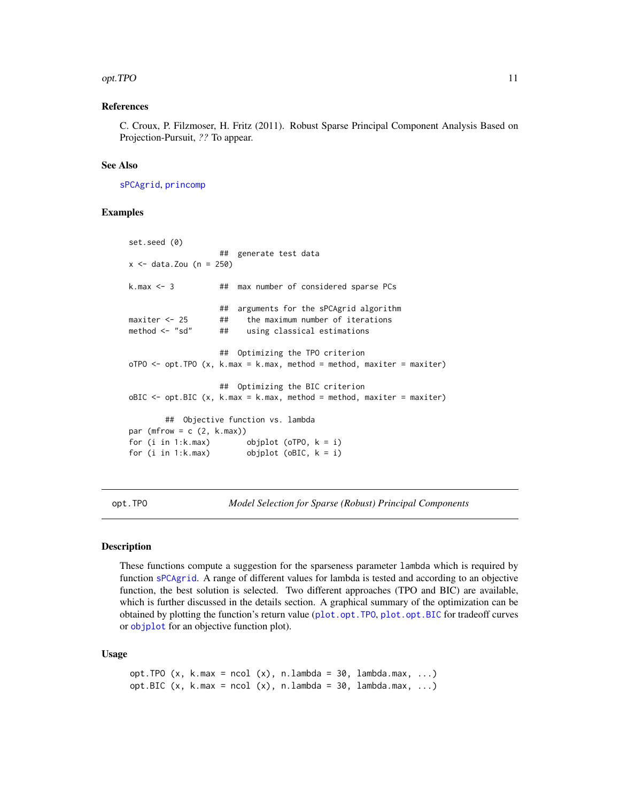#### <span id="page-10-0"></span>opt.TPO 11

### References

C. Croux, P. Filzmoser, H. Fritz (2011). Robust Sparse Principal Component Analysis Based on Projection-Pursuit, *??* To appear.

### See Also

[sPCAgrid](#page-13-2), [princomp](#page-0-0)

#### Examples

```
set.seed (0)
                  ## generate test data
x < - data.Zou (n = 250)
k.max <- 3 ## max number of considered sparse PCs
                  ## arguments for the sPCAgrid algorithm
maxiter <-25 ## the maximum number of iterations
method <- "sd" ## using classical estimations
                  ## Optimizing the TPO criterion
oTPO \le -opt.TPO(x, k.max = k.max, method = method, maxiter = maxiter)## Optimizing the BIC criterion
oBIC \leq opt.BIC (x, k.max = k.max, method = method, maxiter = maxiter)
       ## Objective function vs. lambda
par (mfrow = c (2, k.max))
for (i in 1:k.max) objplot (oTPO, k = i)
for (i in 1:k.max) objplot (oBIC, k = i)
```
<span id="page-10-1"></span>opt.TPO *Model Selection for Sparse (Robust) Principal Components*

#### <span id="page-10-2"></span>Description

These functions compute a suggestion for the sparseness parameter lambda which is required by function [sPCAgrid](#page-13-2). A range of different values for lambda is tested and according to an objective function, the best solution is selected. Two different approaches (TPO and BIC) are available, which is further discussed in the details section. A graphical summary of the optimization can be obtained by plotting the function's return value ([plot.opt.TPO](#page-20-1), [plot.opt.BIC](#page-20-2) for tradeoff curves or [objplot](#page-9-1) for an objective function plot).

#### Usage

```
opt.TPO (x, k.max = ncol (x), n.lang = 30, lambda.max, ...)
opt.BIC (x, k.max = ncol(x), n.langda = 30, lambda.max, ...)
```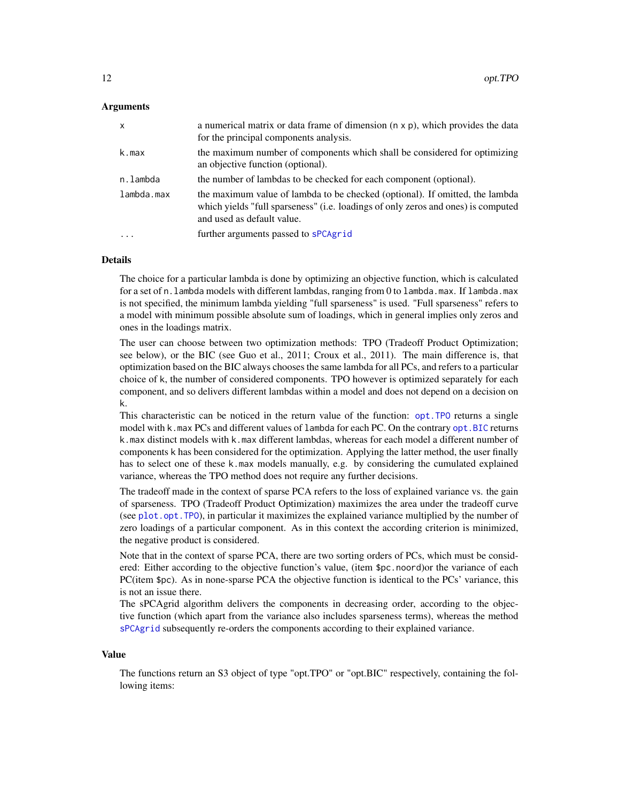#### <span id="page-11-0"></span>Arguments

| $\mathsf{x}$            | a numerical matrix or data frame of dimension $(n \times p)$ , which provides the data<br>for the principal components analysis.                                                                |
|-------------------------|-------------------------------------------------------------------------------------------------------------------------------------------------------------------------------------------------|
| k.max                   | the maximum number of components which shall be considered for optimizing<br>an objective function (optional).                                                                                  |
| n.lambda                | the number of lambdas to be checked for each component (optional).                                                                                                                              |
| lambda.max              | the maximum value of lambda to be checked (optional). If omitted, the lambda<br>which yields "full sparseness" (i.e. loadings of only zeros and ones) is computed<br>and used as default value. |
| $\cdot$ $\cdot$ $\cdot$ | further arguments passed to sPCAgrid                                                                                                                                                            |

#### Details

The choice for a particular lambda is done by optimizing an objective function, which is calculated for a set of n.lambda models with different lambdas, ranging from 0 to lambda.max. If lambda.max is not specified, the minimum lambda yielding "full sparseness" is used. "Full sparseness" refers to a model with minimum possible absolute sum of loadings, which in general implies only zeros and ones in the loadings matrix.

The user can choose between two optimization methods: TPO (Tradeoff Product Optimization; see below), or the BIC (see Guo et al., 2011; Croux et al., 2011). The main difference is, that optimization based on the BIC always chooses the same lambda for all PCs, and refers to a particular choice of k, the number of considered components. TPO however is optimized separately for each component, and so delivers different lambdas within a model and does not depend on a decision on k.

This characteristic can be noticed in the return value of the function: [opt.TPO](#page-10-1) returns a single model with k.max PCs and different values of lambda for each PC. On the contrary [opt.BIC](#page-10-2) returns k.max distinct models with k.max different lambdas, whereas for each model a different number of components k has been considered for the optimization. Applying the latter method, the user finally has to select one of these k.max models manually, e.g. by considering the cumulated explained variance, whereas the TPO method does not require any further decisions.

The tradeoff made in the context of sparse PCA refers to the loss of explained variance vs. the gain of sparseness. TPO (Tradeoff Product Optimization) maximizes the area under the tradeoff curve (see [plot.opt.TPO](#page-20-1)), in particular it maximizes the explained variance multiplied by the number of zero loadings of a particular component. As in this context the according criterion is minimized, the negative product is considered.

Note that in the context of sparse PCA, there are two sorting orders of PCs, which must be considered: Either according to the objective function's value, (item \$pc.noord)or the variance of each PC(item \$pc). As in none-sparse PCA the objective function is identical to the PCs' variance, this is not an issue there.

The sPCAgrid algorithm delivers the components in decreasing order, according to the objective function (which apart from the variance also includes sparseness terms), whereas the method [sPCAgrid](#page-13-2) subsequently re-orders the components according to their explained variance.

#### Value

The functions return an S3 object of type "opt.TPO" or "opt.BIC" respectively, containing the following items: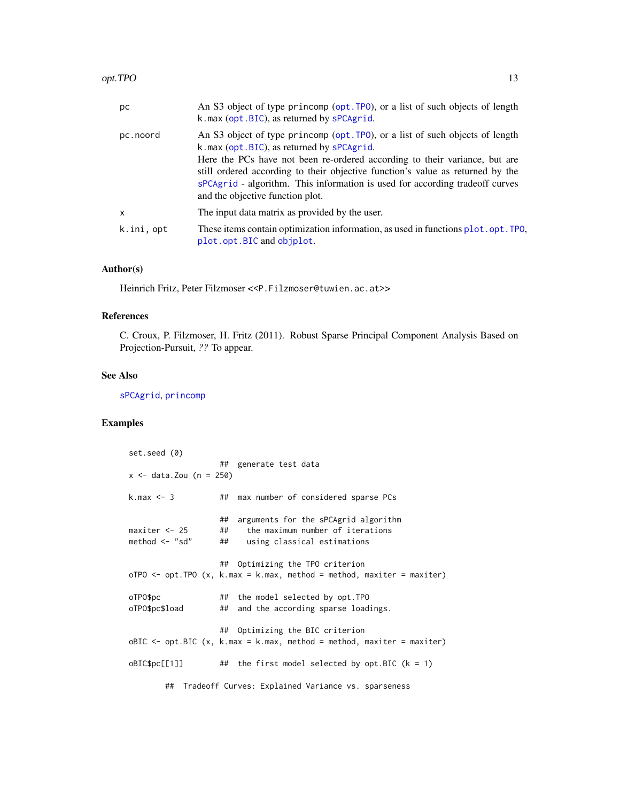<span id="page-12-0"></span>

| рc         | An S3 object of type princomp (opt. TPO), or a list of such objects of length<br>k.max (opt.BIC), as returned by sPCAgrid.                                                                                                                                                                                                                                                                                     |
|------------|----------------------------------------------------------------------------------------------------------------------------------------------------------------------------------------------------------------------------------------------------------------------------------------------------------------------------------------------------------------------------------------------------------------|
| pc.noord   | An S3 object of type princomp (opt. TPO), or a list of such objects of length<br>k.max (opt.BIC), as returned by sPCAgrid.<br>Here the PCs have not been re-ordered according to their variance, but are<br>still ordered according to their objective function's value as returned by the<br>sPCAgrid - algorithm. This information is used for according tradeoff curves<br>and the objective function plot. |
| X          | The input data matrix as provided by the user.                                                                                                                                                                                                                                                                                                                                                                 |
| k.ini, opt | These items contain optimization information, as used in functions plot. opt. TPO,<br>plot.opt.BIC and objplot.                                                                                                                                                                                                                                                                                                |

## Author(s)

Heinrich Fritz, Peter Filzmoser <<P.Filzmoser@tuwien.ac.at>>

#### References

C. Croux, P. Filzmoser, H. Fritz (2011). Robust Sparse Principal Component Analysis Based on Projection-Pursuit, *??* To appear.

## See Also

[sPCAgrid](#page-13-2), [princomp](#page-0-0)

## Examples

| set.seed (0)                          |                |                                                                                                                                                                 |
|---------------------------------------|----------------|-----------------------------------------------------------------------------------------------------------------------------------------------------------------|
| $x \le -$ data. Zou (n = 250)         |                | ## generate test data                                                                                                                                           |
| $k.max \leq 3$                        | ##             | max number of considered sparse PCs                                                                                                                             |
| $maxiter < -25$<br>method $\leq$ "sd" | ##<br>##<br>## | arguments for the sPCAgrid algorithm<br>the maximum number of iterations<br>using classical estimations                                                         |
|                                       |                | ## Optimizing the TPO criterion<br>oTPO $\leq$ - opt. TPO $(x, k, \text{max} = k, \text{max}, \text{ method} = \text{method}, \text{maxiter} = \text{maxiter})$ |
| oTP0\$pc<br>oTPO\$pc\$load            | ##             | ## the model selected by opt. TPO<br>and the according sparse loadings.                                                                                         |
|                                       | ##             | Optimizing the BIC criterion<br>$oBIC \leq opt.BIC$ (x, k.max = k.max, method = method, maxiter = maxiter)                                                      |
| oBIC\$pc[[1]]                         |                | ## the first model selected by opt.BIC $(k = 1)$                                                                                                                |
|                                       |                | ## Tradeoff Curves: Explained Variance vs. sparseness                                                                                                           |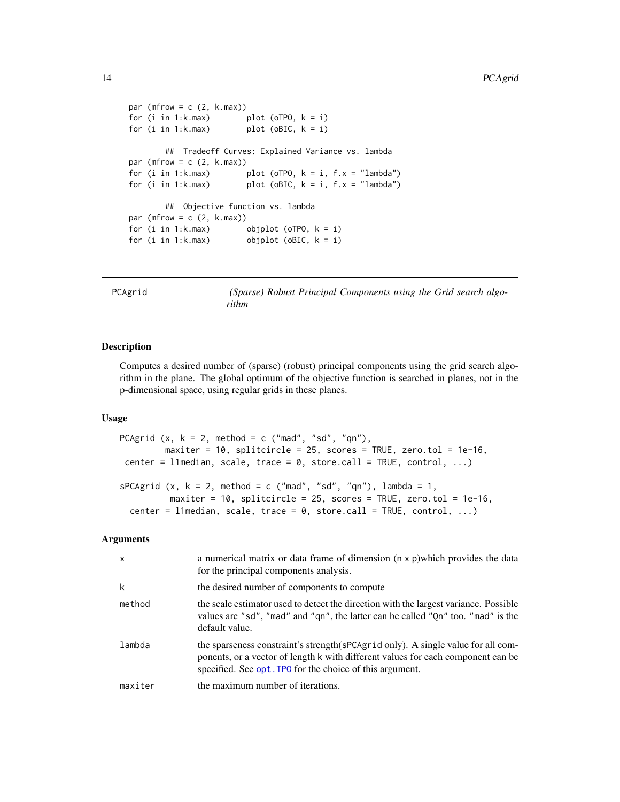```
par (mfrow = c (2, k.max))for (i in 1:k.max) plot (oTPO, k = i)
for (i in 1:k.max) plot (oBIC, k = i)
       ## Tradeoff Curves: Explained Variance vs. lambda
par (mfrow = c (2, k.max))
for (i in 1:k.max) plot (oTPO, k = i, f.x = "lambda")for (i in 1:k.max) plot (oBIC, k = i, f.x = "lambda")## Objective function vs. lambda
par (mfrow = c (2, k.max))
for (i in 1:k.max) objplot (oTPO, k = i)
for (i in 1:k.max) objplot (oBIC, k = i)
```
<span id="page-13-1"></span>PCAgrid *(Sparse) Robust Principal Components using the Grid search algorithm*

#### <span id="page-13-2"></span>Description

Computes a desired number of (sparse) (robust) principal components using the grid search algorithm in the plane. The global optimum of the objective function is searched in planes, not in the p-dimensional space, using regular grids in these planes.

## Usage

```
PCAgrid (x, k = 2, method = c ("mad", "sd", "qn"),maxiter = 10, splitcircle = 25, scores = TRUE, zero.tol = 1e-16,
center = l1median, scale, trace = 0, store.call = TRUE, control, ...)
sPCAgrid (x, k = 2, method = c ("mad", "sd", "qn"), lambda = 1,maxiter = 10, splitcircle = 25, scores = TRUE, zero.tol = 1e-16,
 center = l1median, scale, trace = 0, store.call = TRUE, control, ...)
```
#### Arguments

| $\mathsf{x}$ | a numerical matrix or data frame of dimension (n x p) which provides the data<br>for the principal components analysis.                                                                                                            |
|--------------|------------------------------------------------------------------------------------------------------------------------------------------------------------------------------------------------------------------------------------|
| k            | the desired number of components to compute                                                                                                                                                                                        |
| method       | the scale estimator used to detect the direction with the largest variance. Possible<br>values are "sd", "mad" and "qn", the latter can be called "Qn" too. "mad" is the<br>default value.                                         |
| lambda       | the sparseness constraint's strength (sPCAgr id only). A single value for all com-<br>ponents, or a vector of length k with different values for each component can be<br>specified. See opt. TPO for the choice of this argument. |
| maxiter      | the maximum number of iterations.                                                                                                                                                                                                  |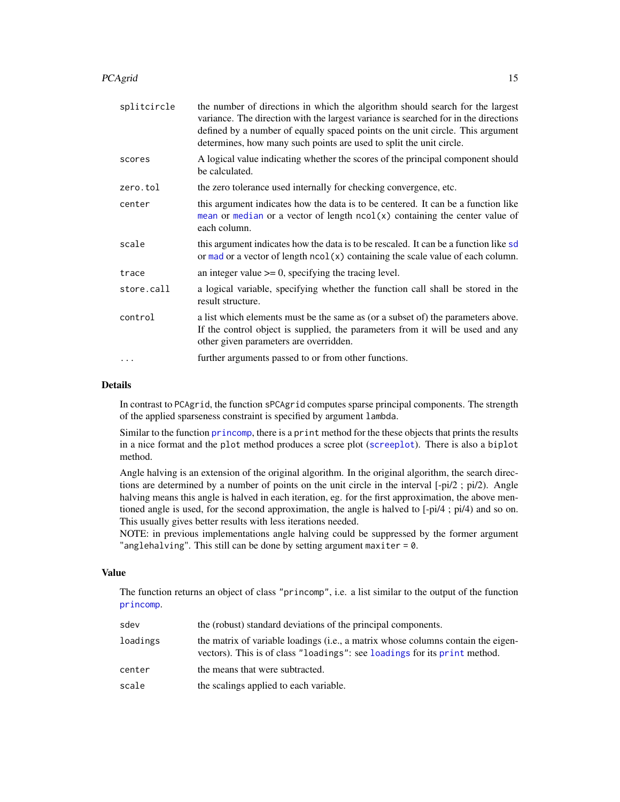#### <span id="page-14-0"></span>PCAgrid 15

| splitcircle | the number of directions in which the algorithm should search for the largest<br>variance. The direction with the largest variance is searched for in the directions<br>defined by a number of equally spaced points on the unit circle. This argument<br>determines, how many such points are used to split the unit circle. |
|-------------|-------------------------------------------------------------------------------------------------------------------------------------------------------------------------------------------------------------------------------------------------------------------------------------------------------------------------------|
| scores      | A logical value indicating whether the scores of the principal component should<br>be calculated.                                                                                                                                                                                                                             |
| zero.tol    | the zero tolerance used internally for checking convergence, etc.                                                                                                                                                                                                                                                             |
| center      | this argument indicates how the data is to be centered. It can be a function like<br>mean or median or a vector of length $ncol(x)$ containing the center value of<br>each column.                                                                                                                                            |
| scale       | this argument indicates how the data is to be rescaled. It can be a function like sd<br>or mad or a vector of length $ncol(x)$ containing the scale value of each column.                                                                                                                                                     |
| trace       | an integer value $\geq 0$ , specifying the tracing level.                                                                                                                                                                                                                                                                     |
| store.call  | a logical variable, specifying whether the function call shall be stored in the<br>result structure.                                                                                                                                                                                                                          |
| control     | a list which elements must be the same as (or a subset of) the parameters above.<br>If the control object is supplied, the parameters from it will be used and any<br>other given parameters are overridden.                                                                                                                  |
| $\cdots$    | further arguments passed to or from other functions.                                                                                                                                                                                                                                                                          |

## Details

In contrast to PCAgrid, the function sPCAgrid computes sparse principal components. The strength of the applied sparseness constraint is specified by argument lambda.

Similar to the function [princomp](#page-0-0), there is a print method for the these objects that prints the results in a nice format and the plot method produces a scree plot ([screeplot](#page-0-0)). There is also a biplot method.

Angle halving is an extension of the original algorithm. In the original algorithm, the search directions are determined by a number of points on the unit circle in the interval [-pi/2 ; pi/2). Angle halving means this angle is halved in each iteration, eg. for the first approximation, the above mentioned angle is used, for the second approximation, the angle is halved to [-pi/4 ; pi/4) and so on. This usually gives better results with less iterations needed.

NOTE: in previous implementations angle halving could be suppressed by the former argument "anglehalving". This still can be done by setting argument maxiter  $= 0$ .

## Value

The function returns an object of class "princomp", i.e. a list similar to the output of the function [princomp](#page-0-0).

| sdev     | the (robust) standard deviations of the principal components.                                                                                                 |
|----------|---------------------------------------------------------------------------------------------------------------------------------------------------------------|
| loadings | the matrix of variable loadings (i.e., a matrix whose columns contain the eigen-<br>vectors). This is of class "loadings": see loadings for its print method. |
| center   | the means that were subtracted.                                                                                                                               |
| scale    | the scalings applied to each variable.                                                                                                                        |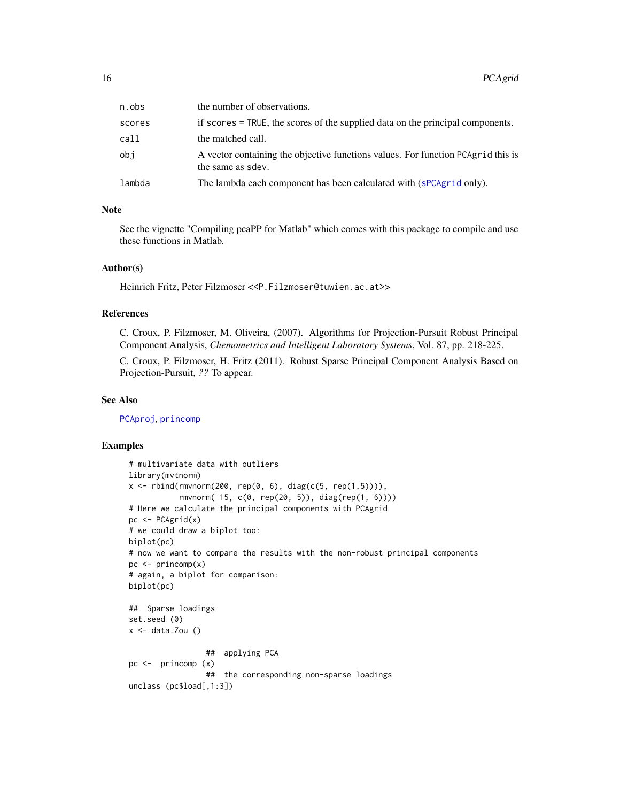<span id="page-15-0"></span>

| n.obs  | the number of observations.                                                                           |
|--------|-------------------------------------------------------------------------------------------------------|
| scores | if scores = TRUE, the scores of the supplied data on the principal components.                        |
| call   | the matched call.                                                                                     |
| obi    | A vector containing the objective functions values. For function PCAgrid this is<br>the same as sdev. |
| lambda | The lambda each component has been calculated with (sPCAgrid only).                                   |

#### Note

See the vignette "Compiling pcaPP for Matlab" which comes with this package to compile and use these functions in Matlab.

## Author(s)

Heinrich Fritz, Peter Filzmoser <<P.Filzmoser@tuwien.ac.at>>

## References

C. Croux, P. Filzmoser, M. Oliveira, (2007). Algorithms for Projection-Pursuit Robust Principal Component Analysis, *Chemometrics and Intelligent Laboratory Systems*, Vol. 87, pp. 218-225.

C. Croux, P. Filzmoser, H. Fritz (2011). Robust Sparse Principal Component Analysis Based on Projection-Pursuit, *??* To appear.

#### See Also

[PCAproj](#page-16-1), [princomp](#page-0-0)

#### Examples

```
# multivariate data with outliers
library(mvtnorm)
x \le rbind(rmvnorm(200, rep(0, 6), diag(c(5, rep(1,5)))),
           rmvnorm( 15, c(0, rep(20, 5)), diag(rep(1, 6))))
# Here we calculate the principal components with PCAgrid
pc <- PCAgrid(x)
# we could draw a biplot too:
biplot(pc)
# now we want to compare the results with the non-robust principal components
pc \le- princomp(x)# again, a biplot for comparison:
biplot(pc)
## Sparse loadings
set.seed (0)
x \leftarrow data.Zou ()
                 ## applying PCA
pc <- princomp (x)
                 ## the corresponding non-sparse loadings
unclass (pc$load[,1:3])
```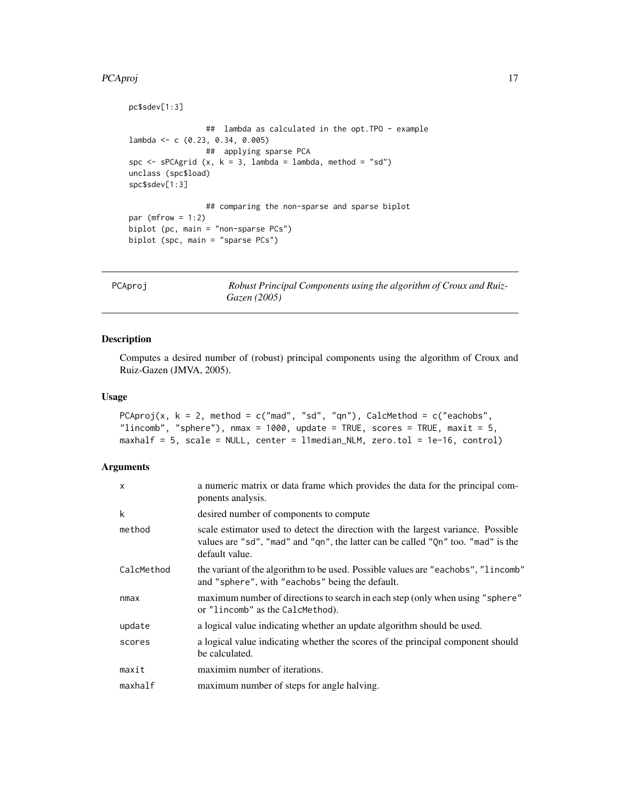#### <span id="page-16-0"></span>PCAproj de la 17 de la 17 de junho 17 de junho 17 de junho 17 de junho 17 de junho 17 de junho 17 de junho 17

```
pc$sdev[1:3]
                 ## lambda as calculated in the opt.TPO - example
lambda <- c (0.23, 0.34, 0.005)
                ## applying sparse PCA
spc \leq sPCAgrid (x, k = 3, lambda = lambda, method = "sd")
unclass (spc$load)
spc$sdev[1:3]
                 ## comparing the non-sparse and sparse biplot
par (mfrow = 1:2)
biplot (pc, main = "non-sparse PCs")
biplot (spc, main = "sparse PCs")
```

```
PCAproj Robust Principal Components using the algorithm of Croux and Ruiz-
                      Gazen (2005)
```
## Description

Computes a desired number of (robust) principal components using the algorithm of Croux and Ruiz-Gazen (JMVA, 2005).

## Usage

```
PCAproj(x, k = 2, method = c("mad", "sd", "qn"), CalcMethod = c("eachobs",
"lincomb", "sphere"), nmax = 1000, update = TRUE, scores = TRUE, maxit = 5,
maxhalf = 5, scale = NULL, center = l1median_NLM, zero.tol = 1e-16, control)
```
## Arguments

| X          | a numeric matrix or data frame which provides the data for the principal com-<br>ponents analysis.                                                                                     |
|------------|----------------------------------------------------------------------------------------------------------------------------------------------------------------------------------------|
| k          | desired number of components to compute                                                                                                                                                |
| method     | scale estimator used to detect the direction with the largest variance. Possible<br>values are "sd", "mad" and "qn", the latter can be called "Qn" too. "mad" is the<br>default value. |
| CalcMethod | the variant of the algorithm to be used. Possible values are "eachobs", "lincomb"<br>and "sphere", with "eachobs" being the default.                                                   |
| nmax       | maximum number of directions to search in each step (only when using "sphere"<br>or "lincomb" as the CalcMethod).                                                                      |
| update     | a logical value indicating whether an update algorithm should be used.                                                                                                                 |
| scores     | a logical value indicating whether the scores of the principal component should<br>be calculated.                                                                                      |
| maxit      | maximim number of iterations.                                                                                                                                                          |
| maxhalf    | maximum number of steps for angle halving.                                                                                                                                             |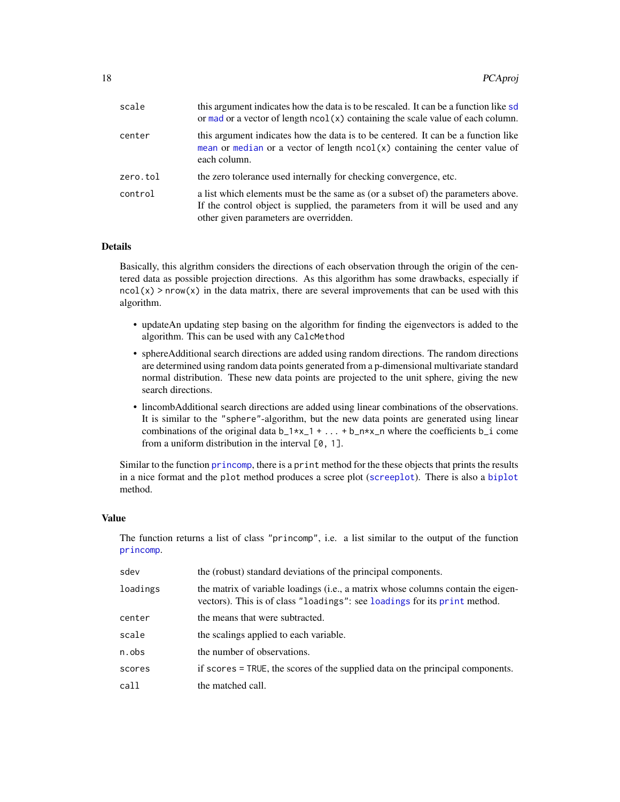<span id="page-17-0"></span>

| scale    | this argument indicates how the data is to be rescaled. It can be a function like sd<br>or mad or a vector of length $ncol(x)$ containing the scale value of each column.                                    |
|----------|--------------------------------------------------------------------------------------------------------------------------------------------------------------------------------------------------------------|
| center   | this argument indicates how the data is to be centered. It can be a function like<br>mean or median or a vector of length $ncol(x)$ containing the center value of<br>each column.                           |
| zero.tol | the zero tolerance used internally for checking convergence, etc.                                                                                                                                            |
| control  | a list which elements must be the same as (or a subset of) the parameters above.<br>If the control object is supplied, the parameters from it will be used and any<br>other given parameters are overridden. |

## Details

Basically, this algrithm considers the directions of each observation through the origin of the centered data as possible projection directions. As this algorithm has some drawbacks, especially if  $ncol(x)$  > nrow(x) in the data matrix, there are several improvements that can be used with this algorithm.

- updateAn updating step basing on the algorithm for finding the eigenvectors is added to the algorithm. This can be used with any CalcMethod
- sphereAdditional search directions are added using random directions. The random directions are determined using random data points generated from a p-dimensional multivariate standard normal distribution. These new data points are projected to the unit sphere, giving the new search directions.
- lincombAdditional search directions are added using linear combinations of the observations. It is similar to the "sphere"-algorithm, but the new data points are generated using linear combinations of the original data  $b_1*x_1 + ... + b_n*x_n$  where the coefficients  $b_i$  come from a uniform distribution in the interval  $[0, 1]$ .

Similar to the function [princomp](#page-0-0), there is a print method for the these objects that prints the results in a nice format and the plot method produces a scree plot ([screeplot](#page-0-0)). There is also a [biplot](#page-0-0) method.

#### Value

The function returns a list of class "princomp", i.e. a list similar to the output of the function [princomp](#page-0-0).

| sdev     | the (robust) standard deviations of the principal components.                                                                                                 |
|----------|---------------------------------------------------------------------------------------------------------------------------------------------------------------|
| loadings | the matrix of variable loadings (i.e., a matrix whose columns contain the eigen-<br>vectors). This is of class "loadings": see loadings for its print method. |
| center   | the means that were subtracted.                                                                                                                               |
| scale    | the scalings applied to each variable.                                                                                                                        |
| n.obs    | the number of observations.                                                                                                                                   |
| scores   | if scores = TRUE, the scores of the supplied data on the principal components.                                                                                |
| cal1     | the matched call.                                                                                                                                             |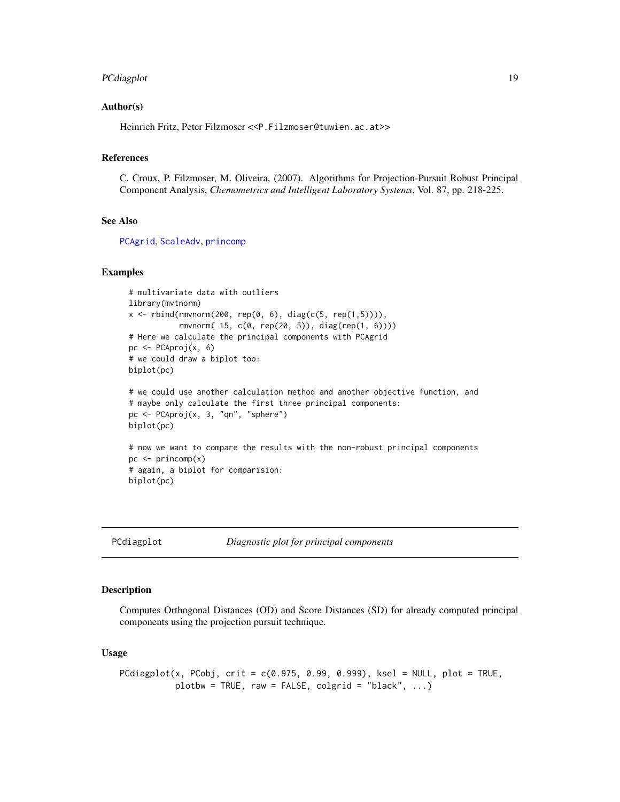## <span id="page-18-0"></span>PCdiagplot 19

#### Author(s)

Heinrich Fritz, Peter Filzmoser <<P.Filzmoser@tuwien.ac.at>>

#### References

C. Croux, P. Filzmoser, M. Oliveira, (2007). Algorithms for Projection-Pursuit Robust Principal Component Analysis, *Chemometrics and Intelligent Laboratory Systems*, Vol. 87, pp. 218-225.

#### See Also

[PCAgrid](#page-13-1), [ScaleAdv](#page-25-1), [princomp](#page-0-0)

#### Examples

```
# multivariate data with outliers
library(mvtnorm)
x \le rbind(rmvnorm(200, rep(0, 6), diag(c(5, rep(1,5)))),
           rmvnorm( 15, c(0, rep(20, 5)), diag(rep(1, 6))))
# Here we calculate the principal components with PCAgrid
pc <- PCAproj(x, 6)
# we could draw a biplot too:
biplot(pc)
# we could use another calculation method and another objective function, and
# maybe only calculate the first three principal components:
```

```
pc <- PCAproj(x, 3, "qn", "sphere")
biplot(pc)
# now we want to compare the results with the non-robust principal components
pc \le -\text{princomp}(x)# again, a biplot for comparision:
biplot(pc)
```
PCdiagplot *Diagnostic plot for principal components*

### **Description**

Computes Orthogonal Distances (OD) and Score Distances (SD) for already computed principal components using the projection pursuit technique.

#### Usage

```
PCdiagplot(x, PCobj, crit = c(0.975, 0.99, 0.999), ksel = NULL, plot = TRUE,
           plotbw = TRUE, raw = FALSE, colgrid = "black", \ldots)
```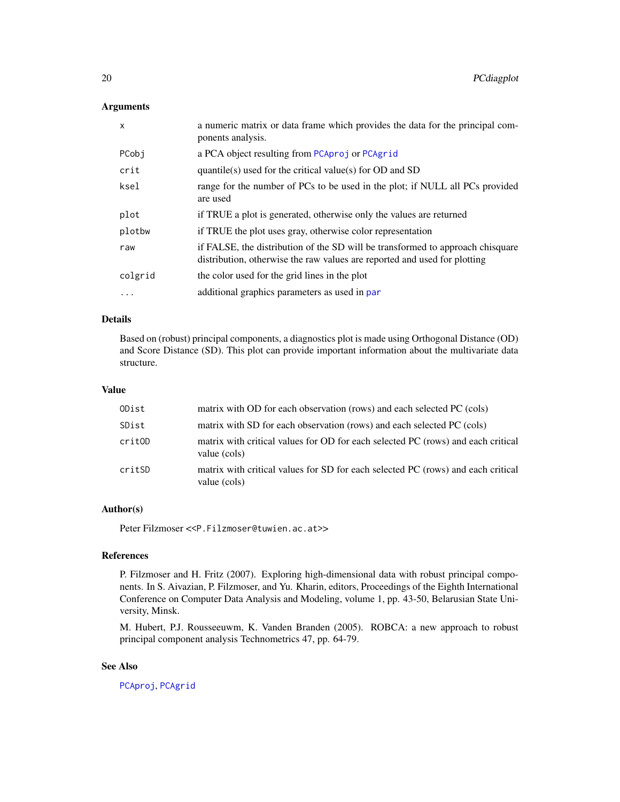#### <span id="page-19-0"></span>Arguments

| $\mathsf{x}$ | a numeric matrix or data frame which provides the data for the principal com-<br>ponents analysis.                                                          |
|--------------|-------------------------------------------------------------------------------------------------------------------------------------------------------------|
| PCobj        | a PCA object resulting from PCAproj or PCAgrid                                                                                                              |
| crit         | quantile(s) used for the critical value(s) for $OD$ and $SD$                                                                                                |
| ksel         | range for the number of PCs to be used in the plot; if NULL all PCs provided<br>are used                                                                    |
| plot         | if TRUE a plot is generated, otherwise only the values are returned                                                                                         |
| plotbw       | if TRUE the plot uses gray, otherwise color representation                                                                                                  |
| raw          | if FALSE, the distribution of the SD will be transformed to approach chisquare<br>distribution, otherwise the raw values are reported and used for plotting |
| colgrid      | the color used for the grid lines in the plot                                                                                                               |
| $\cdots$     | additional graphics parameters as used in par                                                                                                               |

## Details

Based on (robust) principal components, a diagnostics plot is made using Orthogonal Distance (OD) and Score Distance (SD). This plot can provide important information about the multivariate data structure.

## Value

| ODist  | matrix with OD for each observation (rows) and each selected PC (cols)                           |
|--------|--------------------------------------------------------------------------------------------------|
| SDist  | matrix with SD for each observation (rows) and each selected PC (cols)                           |
| critOD | matrix with critical values for OD for each selected PC (rows) and each critical<br>value (cols) |
| critSD | matrix with critical values for SD for each selected PC (rows) and each critical<br>value (cols) |

## Author(s)

Peter Filzmoser <<P.Filzmoser@tuwien.ac.at>>

## References

P. Filzmoser and H. Fritz (2007). Exploring high-dimensional data with robust principal components. In S. Aivazian, P. Filzmoser, and Yu. Kharin, editors, Proceedings of the Eighth International Conference on Computer Data Analysis and Modeling, volume 1, pp. 43-50, Belarusian State University, Minsk.

M. Hubert, P.J. Rousseeuwm, K. Vanden Branden (2005). ROBCA: a new approach to robust principal component analysis Technometrics 47, pp. 64-79.

## See Also

[PCAproj](#page-16-1), [PCAgrid](#page-13-1)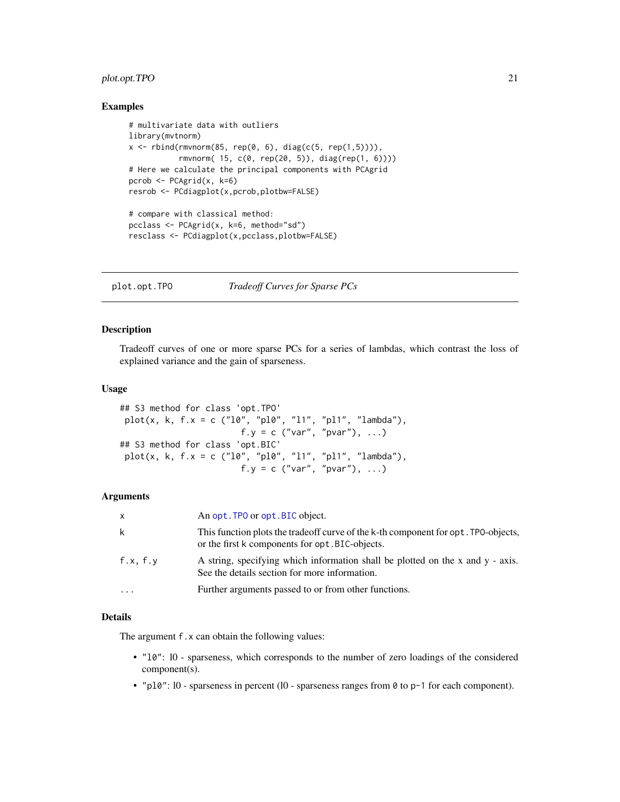## <span id="page-20-0"></span>plot.opt.TPO 21

### Examples

```
# multivariate data with outliers
library(mvtnorm)
x \le rbind(rmvnorm(85, rep(0, 6), diag(c(5, rep(1,5)))),
           rmvnorm( 15, c(0, rep(20, 5)), diag(rep(1, 6))))
# Here we calculate the principal components with PCAgrid
pcrob <- PCAgrid(x, k=6)
resrob <- PCdiagplot(x,pcrob,plotbw=FALSE)
# compare with classical method:
pcclass <- PCAgrid(x, k=6, method="sd")
resclass <- PCdiagplot(x,pcclass,plotbw=FALSE)
```
<span id="page-20-1"></span>plot.opt.TPO *Tradeoff Curves for Sparse PCs*

## <span id="page-20-2"></span>Description

Tradeoff curves of one or more sparse PCs for a series of lambdas, which contrast the loss of explained variance and the gain of sparseness.

#### Usage

```
## S3 method for class 'opt.TPO'
plot(x, k, f.x = c ("l0", "pl0", "l1", "pl1", "lambda"),
                        f.y = c ("var", "pvar"), ...)
## S3 method for class 'opt.BIC'
plot(x, k, f.x = c ("10", "p10", "11", "p11", "lambda"),
                        f.y = c ("var", "pvar"), ...)
```
#### Arguments

| x        | An opt. TPO or opt. BIC object.                                                                                                       |
|----------|---------------------------------------------------------------------------------------------------------------------------------------|
| k        | This function plots the tradeoff curve of the k-th component for opt. TPO-objects,<br>or the first k components for opt. BIC-objects. |
| f.x, f.y | A string, specifying which information shall be plotted on the x and $y - axis$ .<br>See the details section for more information.    |
| $\cdots$ | Further arguments passed to or from other functions.                                                                                  |

## Details

The argument f.x can obtain the following values:

- "l0": l0 sparseness, which corresponds to the number of zero loadings of the considered component(s).
- "pl0": l0 sparseness in percent (l0 sparseness ranges from 0 to p-1 for each component).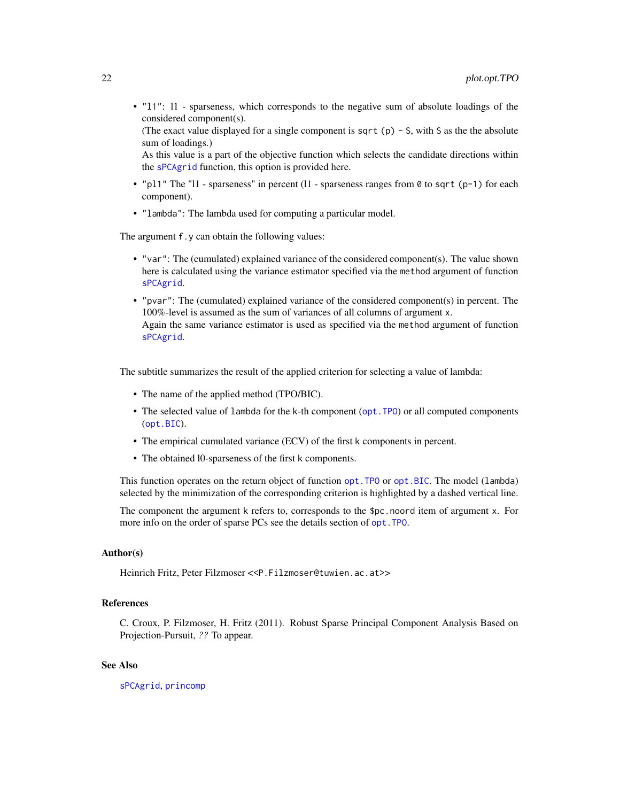<span id="page-21-0"></span>• "l1": l1 - sparseness, which corresponds to the negative sum of absolute loadings of the considered component(s).

(The exact value displayed for a single component is sqrt (p)  $-$  S, with S as the the absolute sum of loadings.)

As this value is a part of the objective function which selects the candidate directions within the [sPCAgrid](#page-13-2) function, this option is provided here.

- "pl1" The "l1 sparseness" in percent (11 sparseness ranges from  $\theta$  to sqrt (p-1) for each component).
- "lambda": The lambda used for computing a particular model.

The argument f.y can obtain the following values:

- "var": The (cumulated) explained variance of the considered component(s). The value shown here is calculated using the variance estimator specified via the method argument of function [sPCAgrid](#page-13-2).
- "pvar": The (cumulated) explained variance of the considered component(s) in percent. The 100%-level is assumed as the sum of variances of all columns of argument x. Again the same variance estimator is used as specified via the method argument of function [sPCAgrid](#page-13-2).

The subtitle summarizes the result of the applied criterion for selecting a value of lambda:

- The name of the applied method (TPO/BIC).
- The selected value of lambda for the k-th component ([opt.TPO](#page-10-1)) or all computed components ([opt.BIC](#page-10-2)).
- The empirical cumulated variance (ECV) of the first k components in percent.
- The obtained l0-sparseness of the first k components.

This function operates on the return object of function [opt.TPO](#page-10-1) or [opt.BIC](#page-10-2). The model (lambda) selected by the minimization of the corresponding criterion is highlighted by a dashed vertical line.

The component the argument k refers to, corresponds to the \$pc.noord item of argument x. For more info on the order of sparse PCs see the details section of [opt.TPO](#page-10-1).

#### Author(s)

Heinrich Fritz, Peter Filzmoser <<P.Filzmoser@tuwien.ac.at>>

## References

C. Croux, P. Filzmoser, H. Fritz (2011). Robust Sparse Principal Component Analysis Based on Projection-Pursuit, *??* To appear.

## See Also

[sPCAgrid](#page-13-2), [princomp](#page-0-0)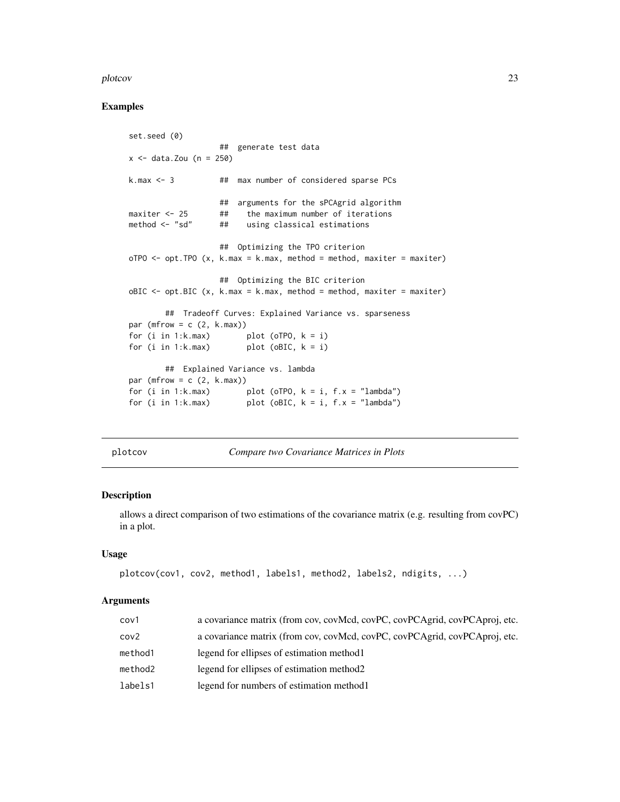#### <span id="page-22-0"></span>plotcov and the set of the set of the set of the set of the set of the set of the set of the set of the set of the set of the set of the set of the set of the set of the set of the set of the set of the set of the set of t

## Examples

```
set.seed (0)
                  ## generate test data
x \le - data.Zou (n = 250)
k.max <- 3 ## max number of considered sparse PCs
                  ## arguments for the sPCAgrid algorithm
maxiter \le 25 ## the maximum number of iterations
method <- "sd" ## using classical estimations
                  ## Optimizing the TPO criterion
oTPO \leq opt.TPO (x, k.max = k.max, method = method, maxiter = maxiter)
                  ## Optimizing the BIC criterion
oBIC \leq -opt.BIC (x, k.max = k.max, method = method, maxiter = maxiter)
       ## Tradeoff Curves: Explained Variance vs. sparseness
par (mfrow = c (2, k.max))
for (i in 1:k.max) plot (oTPO, k = i)
for (i in 1: k.max) plot (oBIC, k = i)
       ## Explained Variance vs. lambda
par (mfrow = c (2, k.max))
for (i in 1:k.max) plot (oTPO, k = i, f.x = "lambda")for (i in 1:k.max) plot (oBIC, k = i, f.x = "lambda")
```
plotcov *Compare two Covariance Matrices in Plots*

## Description

allows a direct comparison of two estimations of the covariance matrix (e.g. resulting from covPC) in a plot.

#### Usage

```
plotcov(cov1, cov2, method1, labels1, method2, labels2, ndigits, ...)
```
#### Arguments

| cov1    | a covariance matrix (from cov, covMcd, covPC, covPCAgrid, covPCAproj, etc. |
|---------|----------------------------------------------------------------------------|
| cov2    | a covariance matrix (from cov, covMcd, covPC, covPCAgrid, covPCAproj, etc. |
| method1 | legend for ellipses of estimation method.                                  |
| method2 | legend for ellipses of estimation method.                                  |
| labels1 | legend for numbers of estimation method 1                                  |
|         |                                                                            |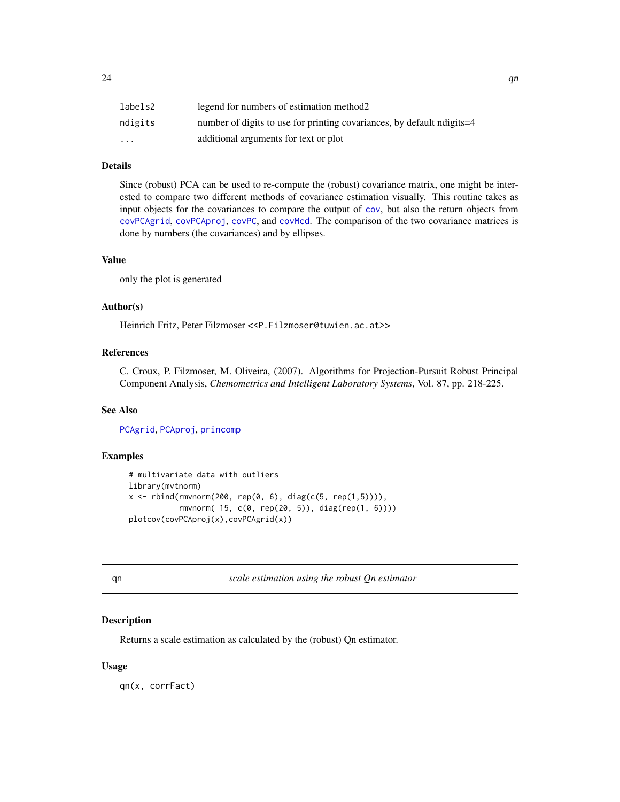<span id="page-23-0"></span>

| labels2                 | legend for numbers of estimation method2                               |
|-------------------------|------------------------------------------------------------------------|
| ndigits                 | number of digits to use for printing covariances, by default ndigits=4 |
| $\cdot$ $\cdot$ $\cdot$ | additional arguments for text or plot                                  |

## Details

Since (robust) PCA can be used to re-compute the (robust) covariance matrix, one might be interested to compare two different methods of covariance estimation visually. This routine takes as input objects for the covariances to compare the output of [cov](#page-0-0), but also the return objects from [covPCAgrid](#page-3-1), [covPCAproj](#page-3-1), [covPC](#page-2-1), and [covMcd](#page-0-0). The comparison of the two covariance matrices is done by numbers (the covariances) and by ellipses.

#### Value

only the plot is generated

## Author(s)

Heinrich Fritz, Peter Filzmoser <<P.Filzmoser@tuwien.ac.at>>

## References

C. Croux, P. Filzmoser, M. Oliveira, (2007). Algorithms for Projection-Pursuit Robust Principal Component Analysis, *Chemometrics and Intelligent Laboratory Systems*, Vol. 87, pp. 218-225.

#### See Also

[PCAgrid](#page-13-1), [PCAproj](#page-16-1), [princomp](#page-0-0)

## Examples

```
# multivariate data with outliers
library(mvtnorm)
x \le rbind(rmvnorm(200, rep(0, 6), diag(c(5, rep(1,5)))),
           rmvnorm( 15, c(0, rep(20, 5)), diag(rep(1, 6))))
plotcov(covPCAproj(x),covPCAgrid(x))
```
qn *scale estimation using the robust Qn estimator*

## Description

Returns a scale estimation as calculated by the (robust) Qn estimator.

#### Usage

qn(x, corrFact)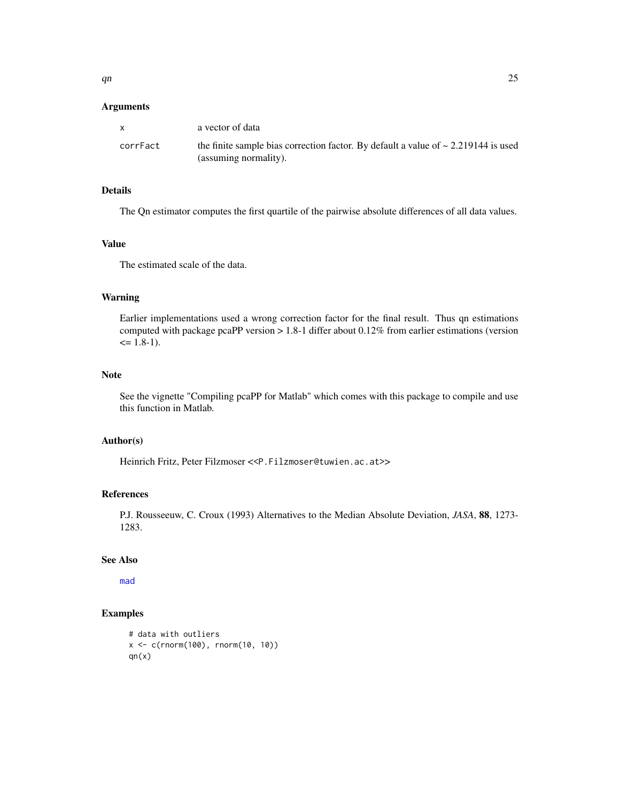#### <span id="page-24-0"></span>Arguments

| $\mathbf{x}$ | a vector of data                                                                                                 |
|--------------|------------------------------------------------------------------------------------------------------------------|
| corrFact     | the finite sample bias correction factor. By default a value of $\sim 2.219144$ is used<br>(assuming normality). |

## Details

The Qn estimator computes the first quartile of the pairwise absolute differences of all data values.

#### Value

The estimated scale of the data.

## Warning

Earlier implementations used a wrong correction factor for the final result. Thus qn estimations computed with package pcaPP version  $> 1.8-1$  differ about 0.12% from earlier estimations (version  $\leq 1.8-1$ ).

## Note

See the vignette "Compiling pcaPP for Matlab" which comes with this package to compile and use this function in Matlab.

#### Author(s)

Heinrich Fritz, Peter Filzmoser <<P.Filzmoser@tuwien.ac.at>>

#### References

P.J. Rousseeuw, C. Croux (1993) Alternatives to the Median Absolute Deviation, *JASA*, 88, 1273- 1283.

## See Also

[mad](#page-0-0)

## Examples

```
# data with outliers
x <- c(rnorm(100), rnorm(10, 10))
qn(x)
```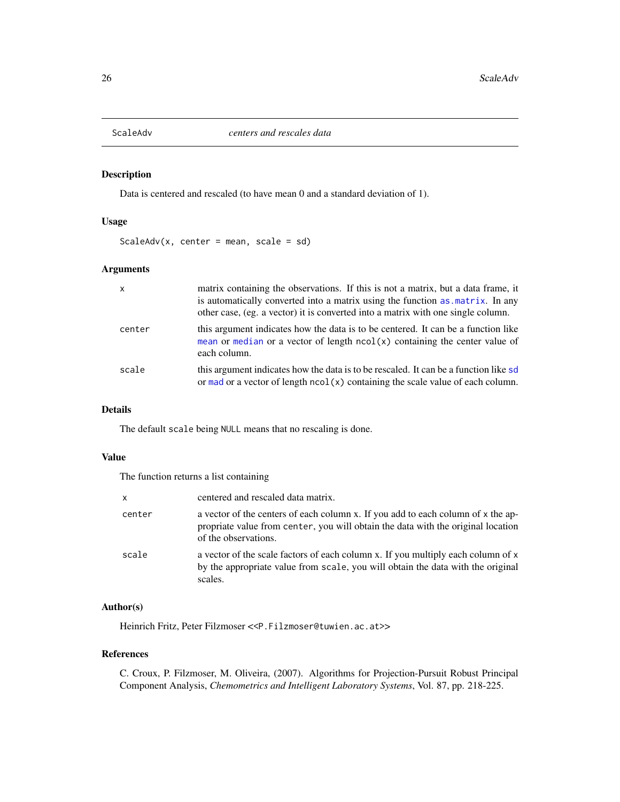<span id="page-25-1"></span><span id="page-25-0"></span>

## Description

Data is centered and rescaled (to have mean 0 and a standard deviation of 1).

#### Usage

ScaleAdv(x, center = mean, scale =  $sd$ )

#### Arguments

| $\mathsf{x}$ | matrix containing the observations. If this is not a matrix, but a data frame, it<br>is automatically converted into a matrix using the function as matrix. In any<br>other case, (eg. a vector) it is converted into a matrix with one single column. |
|--------------|--------------------------------------------------------------------------------------------------------------------------------------------------------------------------------------------------------------------------------------------------------|
| center       | this argument indicates how the data is to be centered. It can be a function like<br>mean or median or a vector of length $ncol(x)$ containing the center value of<br>each column.                                                                     |
| scale        | this argument indicates how the data is to be rescaled. It can be a function like sd<br>or mad or a vector of length $ncol(x)$ containing the scale value of each column.                                                                              |

## Details

The default scale being NULL means that no rescaling is done.

#### Value

The function returns a list containing

| $\times$ | centered and rescaled data matrix.                                                                                                                                                           |
|----------|----------------------------------------------------------------------------------------------------------------------------------------------------------------------------------------------|
| center   | a vector of the centers of each column x. If you add to each column of x the ap-<br>propriate value from center, you will obtain the data with the original location<br>of the observations. |
| scale    | a vector of the scale factors of each column x. If you multiply each column of x<br>by the appropriate value from scale, you will obtain the data with the original<br>scales.               |

## Author(s)

Heinrich Fritz, Peter Filzmoser <<P.Filzmoser@tuwien.ac.at>>

#### References

C. Croux, P. Filzmoser, M. Oliveira, (2007). Algorithms for Projection-Pursuit Robust Principal Component Analysis, *Chemometrics and Intelligent Laboratory Systems*, Vol. 87, pp. 218-225.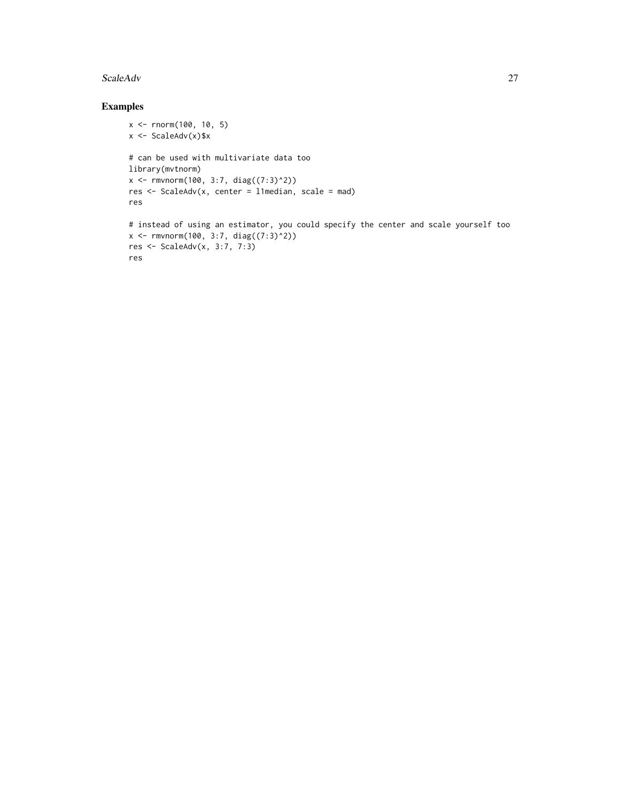#### ScaleAdv 27

## Examples

```
x <- rnorm(100, 10, 5)
x <- ScaleAdv(x)$x
# can be used with multivariate data too
library(mvtnorm)
x \leq -rmvnorm(100, 3:7, diag((7:3)^2))
res <- ScaleAdv(x, center = l1median, scale = mad)
res
# instead of using an estimator, you could specify the center and scale yourself too
x \leq -\text{rmvnorm}(100, 3:7, \text{diag}((7:3)^2))res <- ScaleAdv(x, 3:7, 7:3)
res
```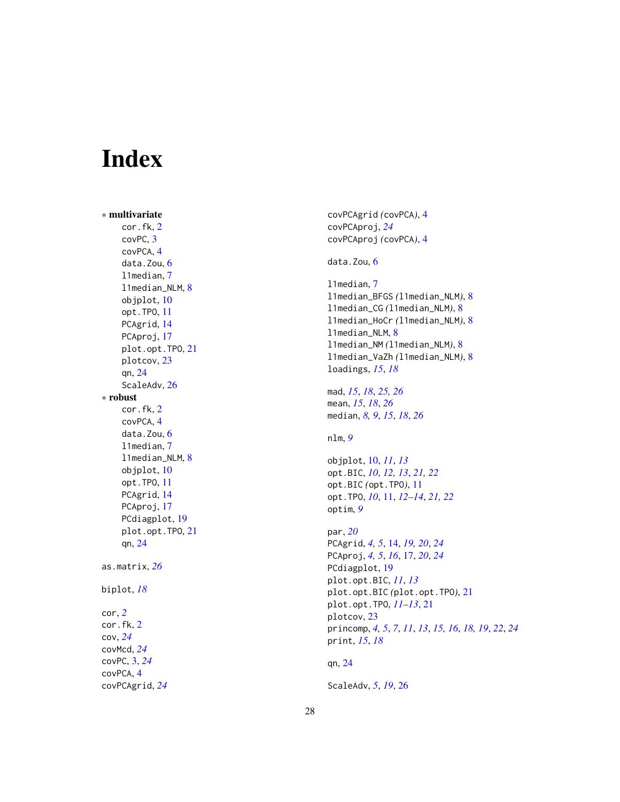# <span id="page-27-0"></span>Index

∗ multivariate cor.fk , [2](#page-1-0) covPC , [3](#page-2-0) covPCA , [4](#page-3-0) data.Zou, [6](#page-5-0) l1median , [7](#page-6-0) l1median\_NLM , [8](#page-7-0) objplot , [10](#page-9-0) opt.TPO , [11](#page-10-0) PCAgrid , [14](#page-13-0) PCAproj, [17](#page-16-0) plot.opt.TPO , [21](#page-20-0) plotcov , [23](#page-22-0) qn , [24](#page-23-0) ScaleAdv, [26](#page-25-0) ∗ robust cor.fk , [2](#page-1-0) covPCA, [4](#page-3-0) data.Zou, [6](#page-5-0) l1median , [7](#page-6-0) l1median\_NLM , [8](#page-7-0) objplot , [10](#page-9-0) opt.TPO , [11](#page-10-0) PCAgrid , [14](#page-13-0) PCAproj, [17](#page-16-0) PCdiagplot , [19](#page-18-0) plot.opt.TPO , [21](#page-20-0) qn , [24](#page-23-0) as.matrix , *[26](#page-25-0)* biplot , *[18](#page-17-0)* cor , *[2](#page-1-0)* cor.fk , [2](#page-1-0) cov , *[24](#page-23-0)* covMcd , *[24](#page-23-0)* covPC , [3](#page-2-0) , *[24](#page-23-0)* covPCA , [4](#page-3-0)

covPCAgrid , *[24](#page-23-0)*

covPCAgrid *(*covPCA *)* , [4](#page-3-0) covPCAproj , *[24](#page-23-0)* covPCAproj *(*covPCA *)* , [4](#page-3-0) data.Zou, <mark>[6](#page-5-0)</mark> l1median , [7](#page-6-0) l1median\_BFGS *(*l1median\_NLM *)* , [8](#page-7-0) l1median\_CG *(*l1median\_NLM *)* , [8](#page-7-0) l1median\_HoCr *(*l1median\_NLM *)* , [8](#page-7-0) l1median\_NLM , [8](#page-7-0) l1median\_NM *(*l1median\_NLM *)* , [8](#page-7-0) l1median\_VaZh *(*l1median\_NLM *)* , [8](#page-7-0) loadings , *[15](#page-14-0)* , *[18](#page-17-0)* mad , *[15](#page-14-0)* , *[18](#page-17-0)* , *[25](#page-24-0) , [26](#page-25-0)* mean , *[15](#page-14-0)* , *[18](#page-17-0)* , *[26](#page-25-0)* median , *[8](#page-7-0) , [9](#page-8-0)* , *[15](#page-14-0)* , *[18](#page-17-0)* , *[26](#page-25-0)* nlm , *[9](#page-8-0)* objplot , [10](#page-9-0) , *[11](#page-10-0)* , *[13](#page-12-0)* opt.BIC , *[10](#page-9-0)* , *[12](#page-11-0) , [13](#page-12-0)* , *[21](#page-20-0) , [22](#page-21-0)* opt.BIC *(*opt.TPO *)* , [11](#page-10-0) opt.TPO , *[10](#page-9-0)* , [11](#page-10-0) , *[12](#page-11-0) [–14](#page-13-0)* , *[21](#page-20-0) , [22](#page-21-0)* optim , *[9](#page-8-0)* par , *[20](#page-19-0)* PCAgrid , *[4](#page-3-0) , [5](#page-4-0)* , [14](#page-13-0) , *[19](#page-18-0) , [20](#page-19-0)* , *[24](#page-23-0)* PCAproj , *[4](#page-3-0) , [5](#page-4-0)* , *[16](#page-15-0)* , [17](#page-16-0) , *[20](#page-19-0)* , *[24](#page-23-0)* PCdiagplot , [19](#page-18-0) plot.opt.BIC , *[11](#page-10-0)* , *[13](#page-12-0)* plot.opt.BIC *(*plot.opt.TPO *)* , [21](#page-20-0) plot.opt.TPO , *[11](#page-10-0) [–13](#page-12-0)* , [21](#page-20-0) plotcov , [23](#page-22-0) princomp , *[4](#page-3-0) , [5](#page-4-0)* , *[7](#page-6-0)* , *[11](#page-10-0)* , *[13](#page-12-0)* , *[15](#page-14-0) , [16](#page-15-0)* , *[18](#page-17-0) , [19](#page-18-0)* , *[22](#page-21-0)* , *[24](#page-23-0)* print , *[15](#page-14-0)* , *[18](#page-17-0)* qn , [24](#page-23-0)

ScaleAdv , *[5](#page-4-0)* , *[19](#page-18-0)* , [26](#page-25-0)